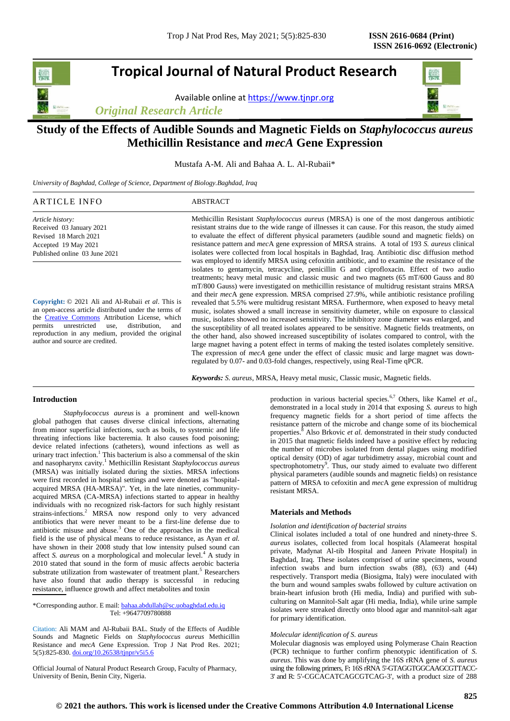# **Tropical Journal of Natural Product Research**

Available online a[t https://www.tjnpr.org](https://www.tjnpr.org/)

*Original Research Article*



## **Study of the Effects of Audible Sounds and Magnetic Fields on** *Staphylococcus aureus* **Methicillin Resistance and** *mecA* **Gene Expression**

Mustafa A-M. Ali and Bahaa A. L. Al-Rubaii\*

*University of Baghdad, College of Science, Department of Biology.Baghdad, Iraq*

| ARTICLE INFO                  | ABSTRACT                                                                                                                                                                                          |
|-------------------------------|---------------------------------------------------------------------------------------------------------------------------------------------------------------------------------------------------|
| Article history:              | Methicillin Resistant Staphylococcus aureus (MRSA) is one of the most dangerous antibiotic                                                                                                        |
| Received 03 January 2021      | resistant strains due to the wide range of illnesses it can cause. For this reason, the study aimed                                                                                               |
| Revised 18 March 2021         | to evaluate the effect of different physical parameters (audible sound and magnetic fields) on                                                                                                    |
| Accepted 19 May 2021          | resistance pattern and <i>mecA</i> gene expression of MRSA strains. A total of 193 S. <i>aureus</i> clinical                                                                                      |
| Published online 03 June 2021 | isolates were collected from local hospitals in Baghdad, Iraq. Antibiotic disc diffusion method<br>was employed to identify MRSA using cefoxitin antibiotic, and to examine the resistance of the |
|                               | isolates to gentamycin, tetracycline, penicillin G and ciprofloxacin. Effect of two audio                                                                                                         |
|                               | treatments; heavy metal music and classic music and two magnets (65 mT/600 Gauss and 80)                                                                                                          |
|                               | $mT/800$ Gauss) were investigated on methicillin resistance of multidrug resistant strains MPSA                                                                                                   |

**Copyright:** © 2021 Ali and Al-Rubaii *et al*. This is an open-access article distributed under the terms of the [Creative Commons](https://creativecommons.org/licenses/by/4.0/) Attribution License, which permits unrestricted use, distribution, and reproduction in any medium, provided the original author and source are credited.

mT/800 Gauss) were investigated on methicillin resistance of multidrug resistant strains MRSA and their *mec*A gene expression. MRSA comprised 27.9%, while antibiotic resistance profiling revealed that 5.5% were multidrug resistant MRSA. Furthermore, when exposed to heavy metal music, isolates showed a small increase in sensitivity diameter, while on exposure to classical music, isolates showed no increased sensitivity. The inhibitory zone diameter was enlarged, and the susceptibility of all treated isolates appeared to be sensitive. Magnetic fields treatments, on the other hand, also showed increased susceptibility of isolates compared to control, with the large magnet having a potent effect in terms of making the tested isolates completely sensitive. The expression of *mecA* gene under the effect of classic music and large magnet was downregulated by 0.07- and 0.03-fold changes, respectively, using Real-Time qPCR.

*Keywords: S. aureus*, MRSA, Heavy metal music, Classic music, Magnetic fields.

## **Introduction**

*Staphylococcus aureus* is a prominent and well-known global pathogen that causes diverse clinical infections, alternating from minor superficial infections, such as boils, to systemic and life threating infections like bacteremia. It also causes food poisoning; device related infections (catheters), wound infections as well as urinary tract infection.<sup>1</sup> This bacterium is also a commensal of the skin and nasopharynx cavity.<sup>1</sup> Methicillin Resistant *Staphylococcus aureus* (MRSA) was initially isolated during the sixties. MRSA infections were first recorded in hospital settings and were denoted as "hospitalacquired MRSA (HA-MRSA)". Yet, in the late nineties, communityacquired MRSA (CA-MRSA) infections started to appear in healthy individuals with no recognized risk-factors for such highly resistant strains-infections.<sup>2</sup> MRSA now respond only to very advanced antibiotics that were never meant to be a first-line defense due to antibiotic misuse and abuse. $3$  One of the approaches in the medical field is the use of physical means to reduce resistance, as Ayan *et al.* have shown in their 2008 study that low intensity pulsed sound can affect *S. aureus* on a morphological and molecular level.<sup>4</sup> A study in 2010 stated that sound in the form of music affects aerobic bacteria substrate utilization from wastewater of treatment plant.<sup>5</sup> Researchers have also found that audio therapy is successful in reducing resistance, influence growth and affect metabolites and toxin

\*Corresponding author. E mail: bahaa.abdullah@sc.uobaghdad.edu.iq Tel: +9647709780888

Citation: Ali MAM and Al-Rubaii BAL. Study of the Effects of Audible Sounds and Magnetic Fields on *Staphylococcus aureus* Methicillin Resistance and *mecA* Gene Expression. Trop J Nat Prod Res. 2021; 5(5):825-830[. doi.org/10.26538/tjnpr/v5i5.6](http://www.doi.org/10.26538/tjnpr/v1i4.5)

Official Journal of Natural Product Research Group, Faculty of Pharmacy, University of Benin, Benin City, Nigeria.

production in various bacterial species.<sup>6,7</sup> Others, like Kamel *et al.*, demonstrated in a local study in 2014 that exposing *S. aureus* to high frequency magnetic fields for a short period of time affects the resistance pattern of the microbe and change some of its biochemical properties.<sup>8</sup> Also Brkovic *et al.* demonstrated in their study conducted in 2015 that magnetic fields indeed have a positive effect by reducing the number of microbes isolated from dental plagues using modified optical density (OD) of agar turbidimetry assay, microbial count and spectrophotometry<sup>9</sup>. Thus, our study aimed to evaluate two different physical parameters (audible sounds and magnetic fields) on resistance pattern of MRSA to cefoxitin and *mec*A gene expression of multidrug resistant MRSA.

## **Materials and Methods**

## *Isolation and identification of bacterial strains*

Clinical isolates included a total of one hundred and ninety-three S. *aureus* isolates, collected from local hospitals (Alameerat hospital private, Madynat Al-tib Hospital and Janeen Private Hospital) in Baghdad, Iraq. These isolates comprised of urine specimens, wound infection swabs and burn infection swabs (88), (63) and (44) respectively. Transport media (Biosigma, Italy) were inoculated with the burn and wound samples swabs followed by culture activation on brain-heart infusion broth (Hi media, India) and purified with subculturing on Mannitol-Salt agar (Hi media, India), while urine sample isolates were streaked directly onto blood agar and mannitol-salt agar for primary identification.

## *Molecular identification of S. aureus*

Molecular diagnosis was employed using Polymerase Chain Reaction (PCR) technique to further confirm phenotypic identification of *S. aureus*. This was done by amplifying the 16S rRNA gene of *S. aureus* using the following primers, F**:** 16S rRNA 5'-GTAGGTGGCAAGCGTTACC-3' and R: 5'-CGCACATCAGCGTCAG-3', with a product size of 288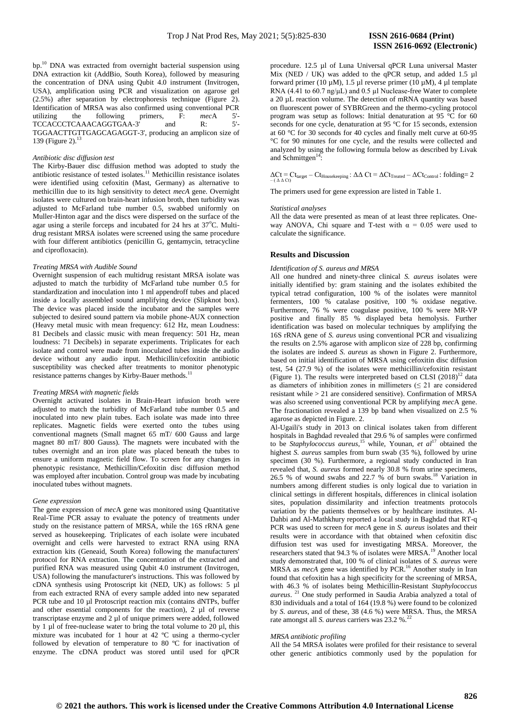bp.<sup>10</sup> DNA was extracted from overnight bacterial suspension using DNA extraction kit (AddBio, South Korea), followed by measuring the concentration of DNA using Qubit 4.0 instrument (Invitrogen, USA), amplification using PCR and visualization on agarose gel (2.5%) after separation by electrophoresis technique (Figure 2). Identification of MRSA was also confirmed using conventional PCR utilizing the following primers, F: *mec*A 5'- TCCACCCTCAAACAGGTGAA-3' and R: 5'- TGGAACTTGTTGAGCAGAGGT-3', producing an amplicon size of 139 (Figure 2).

#### *Antibiotic disc diffusion test*

The Kirby-Bauer disc diffusion method was adopted to study the antibiotic resistance of tested isolates.<sup>11</sup> Methicillin resistance isolates were identified using cefoxitin (Mast, Germany) as alternative to methicillin due to its high sensitivity to detect *mecA* gene. Overnight isolates were cultured on brain-heart infusion broth, then turbidity was adjusted to McFarland tube number 0.5, swabbed uniformly on Muller-Hinton agar and the discs were dispersed on the surface of the agar using a sterile forceps and incubated for  $24$  hrs at  $37^{\circ}$ C. Multidrug resistant MRSA isolates were screened using the same procedure with four different antibiotics (penicillin G, gentamycin, tetracycline and ciprofloxacin).

### *Treating MRSA with Audible Sound*

Overnight suspension of each multidrug resistant MRSA isolate was adjusted to match the turbidity of McFarland tube number 0.5 for standardization and inoculation into 1 ml appendroff tubes and placed inside a locally assembled sound amplifying device (Slipknot box). The device was placed inside the incubator and the samples were subjected to desired sound pattern via mobile phone-AUX connection (Heavy metal music with mean frequency: 612 Hz, mean Loudness: 81 Decibels and classic music with mean frequency: 501 Hz, mean loudness: 71 Decibels) in separate experiments. Triplicates for each isolate and control were made from inoculated tubes inside the audio device without any audio input. Methicillin/cefoxitin antibiotic susceptibility was checked after treatments to monitor phenotypic resistance patterns changes by Kirby-Bauer methods.<sup>1</sup>

## *Treating MRSA with magnetic fields*

Overnight activated isolates in Brain-Heart infusion broth were adjusted to match the turbidity of McFarland tube number 0.5 and inoculated into new plain tubes. Each isolate was made into three replicates. Magnetic fields were exerted onto the tubes using conventional magnets (Small magnet 65 mT/ 600 Gauss and large magnet 80 mT/ 800 Gauss). The magnets were incubated with the tubes overnight and an iron plate was placed beneath the tubes to ensure a uniform magnetic field flow. To screen for any changes in phenotypic resistance, Methicillin/Cefoxitin disc diffusion method was employed after incubation. Control group was made by incubating inoculated tubes without magnets.

#### *Gene expression*

The gene expression of *mec*A gene was monitored using Quantitative Real-Time PCR assay to evaluate the potency of treatments under study on the resistance pattern of MRSA, while the 16S rRNA gene served as housekeeping. Triplicates of each isolate were incubated overnight and cells were harvested to extract RNA using RNA extraction kits (Geneaid, South Korea) following the manufacturers' protocol for RNA extraction. The concentration of the extracted and purified RNA was measured using Qubit 4.0 instrument (Invitrogen, USA) following the manufacturer's instructions. This was followed by cDNA synthesis using Protoscript kit (NED, UK) as follows: 5 µl from each extracted RNA of every sample added into new separated PCR tube and 10 µl Protoscript reaction mix (contains dNTPs, buffer and other essential components for the reaction), 2 µl of reverse transcriptase enzyme and 2 µl of unique primers were added, followed by 1 µl of free-nuclease water to bring the total volume to 20 µl, this mixture was incubated for 1 hour at 42 °C using a thermo-cycler followed by elevation of temperature to 80 ºC for inactivation of enzyme. The cDNA product was stored until used for qPCR procedure. 12.5 µl of Luna Universal qPCR Luna universal Master Mix (NED / UK) was added to the qPCR setup, and added 1.5 µl forward primer (10  $\mu$ M), 1.5  $\mu$ l reverse primer (10  $\mu$ M), 4  $\mu$ l template RNA (4.41 to 60.7 ng/μL) and 0.5 µl Nuclease-free Water to complete a 20 µL reaction volume. The detection of mRNA quantity was based on fluorescent power of SYBRGreen and the thermo-cycling protocol program was setup as follows: Initial denaturation at 95 °C for 60 seconds for one cycle, denaturation at 95 °C for 15 seconds, extension at 60 °C for 30 seconds for 40 cycles and finally melt curve at 60-95 °C for 90 minutes for one cycle, and the results were collected and analyzed by using the following formula below as described by Livak and Schmittgen<sup>1</sup> :

## $\Delta \text{C}t = \text{C}t_{\text{target}} - \text{C}t_{\text{Housekeeping}}: \Delta \Delta \text{C}t = \Delta \text{C}t_{\text{Treated}} - \Delta \text{C}t_{\text{Control}}: \text{folding=2}$

The primers used for gene expression are listed in Table 1.

#### *Statistical analyses*

All the data were presented as mean of at least three replicates. Oneway ANOVA, Chi square and T-test with  $\alpha = 0.05$  were used to calculate the significance.

#### **Results and Discussion**

#### *Identification of S. aureus and MRSA*

All one hundred and ninety-three clinical *S. aureus* isolates were initially identified by: gram staining and the isolates exhibited the typical tetrad configuration, 100 % of the isolates were mannitol fermenters, 100 % catalase positive, 100 % oxidase negative. Furthermore, 76 % were coagulase positive, 100 % were MR-VP positive and finally 85 % displayed beta hemolysis. Further identification was based on molecular techniques by amplifying the 16S rRNA gene of *S. aureus* using conventional PCR and visualizing the results on 2.5% agarose with amplicon size of 228 bp, confirming the isolates are indeed *S. aureus* as shown in Figure 2. Furthermore, based on initial identification of MRSA using cefoxitin disc diffusion test, 54 (27.9 %) of the isolates were methicillin/cefoxitin resistant (Figure 1). The results were interpreted based on CLSI  $(2018)^{12}$  data as diameters of inhibition zones in millimeters  $(\leq 21)$  are considered resistant while > 21 are considered sensitive). Confirmation of MRSA was also screened using conventional PCR by amplifying *mec*A gene. The fractionation revealed a 139 bp band when visualized on 2.5 % agarose as depicted in Figure. 2.

Al-Ugaili's study in 2013 on clinical isolates taken from different hospitals in Baghdad revealed that 29.6 % of samples were confirmed to be *Staphylococcus aureus*, <sup>15</sup> while, Younan, *et al*<sup>17</sup> obtained the highest *S. aureus* samples from burn swab (35 %), followed by urine specimen (30 %). Furthermore, a regional study conducted in Iran revealed that, *S. aureus* formed nearly 30.8 % from urine specimens, 26.5 % of wound swabs and 22.7 % of burn swabs.<sup>18</sup> Variation in numbers among different studies is only logical due to variation in clinical settings in different hospitals, differences in clinical isolation sites, population dissimilarity and infection treatments protocols variation by the patients themselves or by healthcare institutes. Al-Dahbi and Al-Mathkhury reported a local study in Baghdad that RT-q PCR was used to screen for *mecA* gene in *S. aureus* isolates and their results were in accordance with that obtained when cefoxitin disc diffusion test was used for investigating MRSA. Moreover, the researchers stated that 94.3 % of isolates were MRSA.<sup>19</sup> Another local study demonstrated that, 100 % of clinical isolates of *S. aureus* were MRSA as *mecA* gene was identified by PCR.<sup>16</sup> Another study in Iran found that cefoxitin has a high specificity for the screening of MRSA, with 46.3 % of isolates being Methicillin-Resistant *Staphylococcus aureus*. <sup>21</sup> One study performed in Saudia Arabia analyzed a total of 830 individuals and a total of 164 (19.8 %) were found to be colonized by *S. aureus*, and of these, 38 (4.6 %) were MRSA. Thus, the MRSA rate amongst all *S. aureus* carriers was 23.2 %.<sup>22</sup>

#### *MRSA antibiotic profiling*

All the 54 MRSA isolates were profiled for their resistance to several other generic antibiotics commonly used by the population for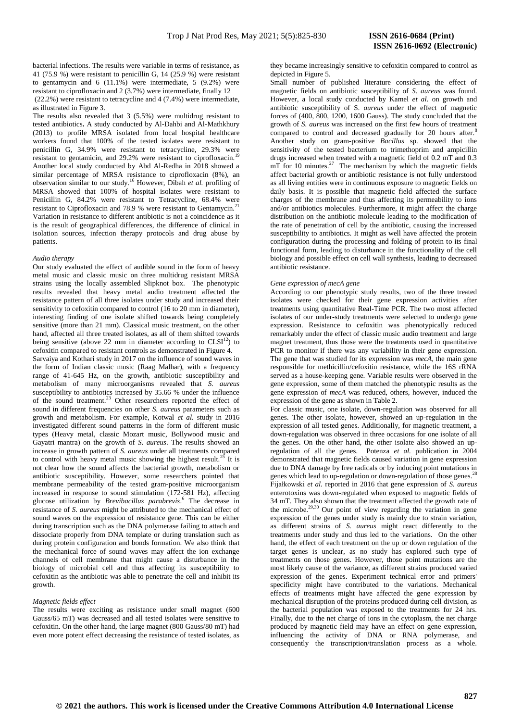bacterial infections. The results were variable in terms of resistance, as 41 (75.9 %) were resistant to penicillin G, 14 (25.9 %) were resistant to gentamycin and 6  $(11.1\%)$  were intermediate, 5  $(9.2\%)$  were resistant to ciprofloxacin and 2 (3.7%) were intermediate, finally 12 (22.2%) were resistant to tetracycline and 4 (7.4%) were intermediate, as illustrated in Figure 3.

The results also revealed that 3 (5.5%) were multidrug resistant to tested antibiotics**.** A study conducted by Al-Dahbi and Al-Mathkhury (2013) to profile MRSA isolated from local hospital healthcare workers found that 100% of the tested isolates were resistant to penicillin G,  $34.9\%$  were resistant to tetracycline,  $29.3\%$  were resistant to gentamicin, and 29.2% were resistant to ciprofloxacin. Another local study conducted by Abd Al-Redha in 2018 showed a similar percentage of MRSA resistance to ciprofloxacin (8%), an observation similar to our study.<sup>16</sup> However, Dibah *et al.* profiling of MRSA showed that 100% of hospital isolates were resistant to Penicillin G, 84.2% were resistant to Tetracycline, 68.4% were resistant to Ciprofloxacin and 78.9 % were resistant to Gentamycin.<sup>2</sup> Variation in resistance to different antibiotic is not a coincidence as it is the result of geographical differences, the difference of clinical in isolation sources, infection therapy protocols and drug abuse by patients.

#### *Audio therapy*

Our study evaluated the effect of audible sound in the form of heavy metal music and classic music on three multidrug resistant MRSA strains using the locally assembled Slipknot box. The phenotypic results revealed that heavy metal audio treatment affected the resistance pattern of all three isolates under study and increased their sensitivity to cefoxitin compared to control (16 to 20 mm in diameter). interesting finding of one isolate shifted towards being completely sensitive (more than 21 mm). Classical music treatment, on the other hand, affected all three treated isolates, as all of them shifted towards being sensitive (above 22 mm in diameter according to  $CLSI<sup>12</sup>$ ) to cefoxitin compared to resistant controls as demonstrated in Figure 4. Sarvaiya and Kothari study in 2017 on the influence of sound waves in the form of Indian classic music (Raag Malhar), with a frequency range of 41-645 Hz, on the growth, antibiotic susceptibility and metabolism of many microorganisms revealed that *S. aureus* susceptibility to antibiotics increased by 35.66 % under the influence of the sound treatment.<sup>23</sup> Other researchers reported the effect of sound in different frequencies on other *S. aureus* parameters such as growth and metabolism. For example, Kotwal *et al*. study in 2016 investigated different sound patterns in the form of different music types (Heavy metal, classic Mozart music, Bollywood music and Gayatri mantra) on the growth of *S. aureus*. The results showed an increase in growth pattern of *S. aureus* under all treatments compared to control with heavy metal music showing the highest result.<sup>25</sup> It is not clear how the sound affects the bacterial growth, metabolism or antibiotic susceptibility. However, some researchers pointed that membrane permeability of the tested gram-positive microorganism increased in response to sound stimulation (172-581 Hz), affecting glucose utilization by *Brevibacillus parabrevis*. 6 The decrease in resistance of *S. aureus* might be attributed to the mechanical effect of sound waves on the expression of resistance gene. This can be either during transcription such as the DNA polymerase failing to attach and dissociate properly from DNA template or during translation such as during protein configuration and bonds formation. We also think that the mechanical force of sound waves may affect the ion exchange channels of cell membrane that might cause a disturbance in the biology of microbial cell and thus affecting its susceptibility to cefoxitin as the antibiotic was able to penetrate the cell and inhibit its growth.

#### *Magnetic fields effect*

The results were exciting as resistance under small magnet (600 Gauss/65 mT) was decreased and all tested isolates were sensitive to cefoxitin. On the other hand, the large magnet (800 Gauss/80 mT) had even more potent effect decreasing the resistance of tested isolates, as

they became increasingly sensitive to cefoxitin compared to control as depicted in Figure 5.

Small number of published literature considering the effect of magnetic fields on antibiotic susceptibility of *S. aureus* was found. However, a local study conducted by Kamel *et al.* on growth and antibiotic susceptibility of S*. aureus* under the effect of magnetic forces of (400, 800, 1200, 1600 Gauss). The study concluded that the growth of *S. aureus* was increased on the first few hours of treatment compared to control and decreased gradually for 20 hours after.<sup>8</sup> Another study on gram-positive *Bacillus* sp. showed that the sensitivity of the tested bacterium to trimethoprim and ampicillin drugs increased when treated with a magnetic field of 0.2 mT and 0.3  $mT$  for 10 minutes.<sup>27</sup> The mechanism by which the magnetic fields affect bacterial growth or antibiotic resistance is not fully understood as all living entities were in continuous exposure to magnetic fields on daily basis. It is possible that magnetic field affected the surface charges of the membrane and thus affecting its permeability to ions and/or antibiotics molecules. Furthermore, it might affect the charge distribution on the antibiotic molecule leading to the modification of the rate of penetration of cell by the antibiotic, causing the increased susceptibility to antibiotics. It might as well have affected the protein configuration during the processing and folding of protein to its final functional form, leading to disturbance in the functionality of the cell biology and possible effect on cell wall synthesis, leading to decreased antibiotic resistance.

#### *Gene expression of mecA gene*

According to our phenotypic study results, two of the three treated isolates were checked for their gene expression activities after treatments using quantitative Real-Time PCR. The two most affected isolates of our under-study treatments were selected to undergo gene expression. Resistance to cefoxitin was phenotypically reduced remarkably under the effect of classic music audio treatment and large magnet treatment, thus those were the treatments used in quantitative PCR to monitor if there was any variability in their gene expression. The gene that was studied for its expression was *mecA*, the main gene responsible for methicillin/cefoxitin resistance, while the 16S rRNA served as a house-keeping gene. Variable results were observed in the gene expression, some of them matched the phenotypic results as the gene expression of *mecA* was reduced, others, however, induced the expression of the gene as shown in Table 2.

For classic music, one isolate, down-regulation was observed for all genes. The other isolate, however, showed an up-regulation in the expression of all tested genes. Additionally, for magnetic treatment, a down-regulation was observed in three occasions for one isolate of all the genes. On the other hand, the other isolate also showed an upregulation of all the genes. Potenza *et al.* publication in 2004 demonstrated that magnetic fields caused variation in gene expression due to DNA damage by free radicals or by inducing point mutations in genes which lead to up-regulation or down-regulation of those genes.<sup>2</sup> Fijałkowski *et al.* reported in 2016 that gene expression of *S. aureus*  enterotoxins was down-regulated when exposed to magnetic fields of 34 mT. They also shown that the treatment affected the growth rate of the microbe.<sup>29,30</sup> Our point of view regarding the variation in general expression of the genes under study is mainly due to strain variation, as different strains of *S. aureus* might react differently to the treatments under study and thus led to the variations. On the other hand, the effect of each treatment on the up or down regulation of the target genes is unclear, as no study has explored such type of treatments on those genes. However, those point mutations are the most likely cause of the variance, as different strains produced varied expression of the genes. Experiment technical error and primers' specificity might have contributed to the variations. Mechanical effects of treatments might have affected the gene expression by mechanical disruption of the proteins produced during cell division, as the bacterial population was exposed to the treatments for 24 hrs. Finally, due to the net charge of ions in the cytoplasm, the net charge produced by magnetic field may have an effect on gene expression, influencing the activity of DNA or RNA polymerase, and consequently the transcription/translation process as a whole.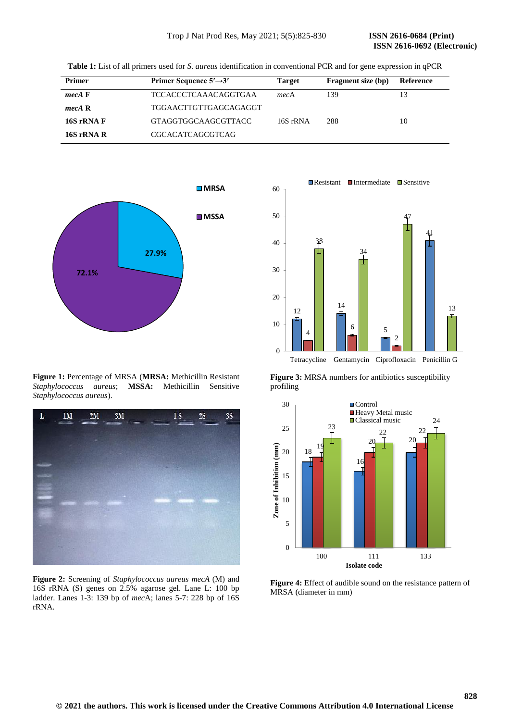**ISSN 2616-0692 (Electronic)** 

**Table 1:** List of all primers used for *S. aureus* identification in conventional PCR and for gene expression in qPCR

| <b>Primer</b> | Primer Sequence $5' \rightarrow 3'$ | <b>Target</b> | <b>Fragment size (bp)</b> | Reference |
|---------------|-------------------------------------|---------------|---------------------------|-----------|
| $mecA$ F      | TCCACCCTCAAACAGGTGAA                | mecA          | 139                       |           |
| mecA R        | TGGAACTTGTTGAGCAGAGGT               |               |                           |           |
| 16S rRNA F    | GTAGGTGGCAAGCGTTACC                 | 16S rRNA      | 288                       | 10        |
| 16S rRNA R    | <b>CGCACATCAGCGTCAG</b>             |               |                           |           |



**Figure 1:** Percentage of MRSA (**MRSA:** Methicillin Resistant *Staphylococcus aureus*; **MSSA:** Methicillin Sensitive *Staphylococcus aureus*).



**Figure 2:** Screening of *Staphylococcus aureus mecA* (M) and 16S rRNA (S) genes on 2.5% agarose gel. Lane L: 100 bp ladder. Lanes 1-3: 139 bp of *mec*A; lanes 5-7: 228 bp of 16S rRNA.



**Figure 3:** MRSA numbers for antibiotics susceptibility profiling



**Figure 4:** Effect of audible sound on the resistance pattern of MRSA (diameter in mm)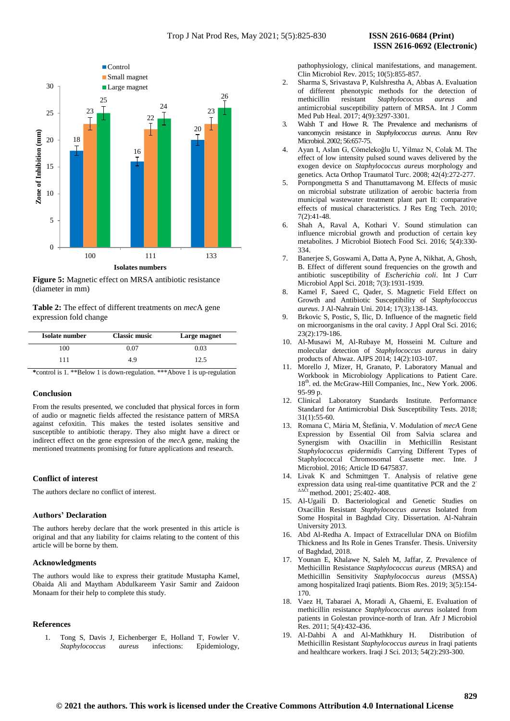

**Figure 5:** Magnetic effect on MRSA antibiotic resistance (diameter in mm)

**Table 2:** The effect of different treatments on *mec*A gene expression fold change

| Isolate number | <b>Classic music</b> | Large magnet |
|----------------|----------------------|--------------|
| 100            | 0.07                 | 0.03         |
| 111            | 49                   | 12.5         |

**\***control is 1. \*\*Below 1 is down-regulation. \*\*\*Above 1 is up-regulation

#### **Conclusion**

From the results presented, we concluded that physical forces in form of audio or magnetic fields affected the resistance pattern of MRSA against cefoxitin. This makes the tested isolates sensitive and susceptible to antibiotic therapy. They also might have a direct or indirect effect on the gene expression of the *mec*A gene, making the mentioned treatments promising for future applications and research.

## **Conflict of interest**

The authors declare no conflict of interest.

## **Authors' Declaration**

The authors hereby declare that the work presented in this article is original and that any liability for claims relating to the content of this article will be borne by them.

## **Acknowledgments**

The authors would like to express their gratitude Mustapha Kamel, Obaida Ali and Maytham Abdulkareem Yasir Samir and Zaidoon Monaam for their help to complete this study.

#### **References**

1. Tong S, Davis J, Eichenberger E, Holland T, Fowler V. *Staphylococcus aureus* infections: Epidemiology, pathophysiology, clinical manifestations, and management. Clin Microbiol Rev. 2015; 10(5):855-857.

- 2. Sharma S, Srivastava P, Kulshrestha A, Abbas A. Evaluation of different phenotypic methods for the detection of methicillin resistant *Staphylococcus aureus* and antimicrobial susceptibility pattern of MRSA*.* Int J Comm Med Pub Heal. 2017; 4(9):3297-3301*.*
- 3. Walsh T and Howe R. The Prevalence and mechanisms of vancomycin resistance in *Staphylococcus aureus*. Annu Rev Microbiol. 2002; 56:657-75.
- 4. Ayan I, Aslan G, Cömelekoğlu U, Yilmaz N, Colak M. The effect of low intensity pulsed sound waves delivered by the exogen device on *Staphylococcus aureus* morphology and genetics. Acta Orthop Traumatol Turc. 2008; 42(4):272-277.
- 5. Pornpongmetta S and Thanuttamavong M. Effects of music on microbial substrate utilization of aerobic bacteria from municipal wastewater treatment plant part II: comparative effects of musical characteristics. J Res Eng Tech. 2010; 7(2):41-48.
- 6. Shah A, Raval A, Kothari V. Sound stimulation can influence microbial growth and production of certain key metabolites. J Microbiol Biotech Food Sci. 2016; 5(4):330- 334.
- 7. Banerjee S, Goswami A, Datta A, Pyne A, Nikhat, A, Ghosh, B. Effect of different sound frequencies on the growth and antibiotic susceptibility of *Escherichia coli*. Int J Curr Microbiol Appl Sci. 2018; 7(3):1931-1939.
- 8. Kamel F, Saeed C, Qader, S. Magnetic Field Effect on Growth and Antibiotic Susceptibility of *Staphylococcus aureus*. J Al-Nahrain Uni. 2014; 17(3):138-143.
- 9. Brkovic S, Postic, S, Ilic, D. Influence of the magnetic field on microorganisms in the oral cavity. J Appl Oral Sci. 2016; 23(2):179-186.
- 10. Al-Musawi M, Al-Rubaye M, Hosseini M. Culture and molecular detection of *Staphylococcus aureus* in dairy products of Ahwaz. AJPS 2014; 14(2):103-107.
- 11. Morello J, Mizer, H, Granato, P. Laboratory Manual and Workbook in Microbiology Applications to Patient Care. 18<sup>th</sup>. ed. the McGraw-Hill Companies, Inc., New York. 2006. 95-99 p.
- 12. Clinical Laboratory Standards Institute. Performance Standard for Antimicrobial Disk Susceptibility Tests. 2018; 31(1):55-60.
- 13. Romana C, Mária M, Štefánia, V. Modulation of *mecA* Gene Expression by Essential Oil from Salvia sclarea and Synergism with Oxacillin in Methicillin Resistant *Staphylococcus epidermidis* Carrying Different Types of Staphylococcal Chromosomal Cassette *mec*. Inte. J Microbiol. 2016; Article ID 6475837.
- 14. Livak K and Schmittgen T. Analysis of relative gene expression data using real-time quantitative PCR and the 2-  $\Delta\Delta\text{Ct}$  method. 2001; 25:402-408.
- 15. Al-Ugaili D. Bacteriological and Genetic Studies on Oxacillin Resistant *Staphylococcus aureus* Isolated from Some Hospital in Baghdad City. Dissertation. Al-Nahrain University 2013.
- 16. Abd Al-Redha A. Impact of Extracellular DNA on Biofilm Thickness and Its Role in Genes Transfer. Thesis. University of Baghdad, 2018.
- 17. Younan E, Khalawe N, Saleh M, Jaffar, Z. Prevalence of Methicillin Resistance *Staphylococcus aureus* (MRSA) and Methicillin Sensitivity *Staphylococcus aureus* (MSSA) among hospitalized Iraqi patients. Biom Res. 2019; 3(5):154- 170.
- 18. Vaez H, Tabaraei A, Moradi A, Ghaemi, E. Evaluation of methicillin resistance *Staphylococcus aureus* isolated from patients in Golestan province-north of Iran. Afr J Microbiol Res. 2011; 5(4):432-436.
- 19. Al-Dahbi A and Al-Mathkhury H. Distribution of Methicillin Resistant *Staphylococcus aureus* in Iraqi patients and healthcare workers. Iraqi J Sci. 2013; 54(2):293-300.